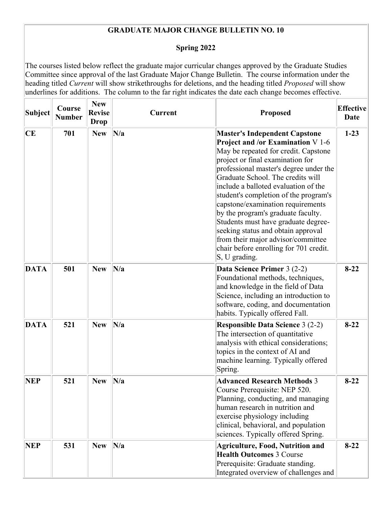## **GRADUATE MAJOR CHANGE BULLETIN NO. 10**

## **Spring 2022**

The courses listed below reflect the graduate major curricular changes approved by the Graduate Studies Committee since approval of the last Graduate Major Change Bulletin. The course information under the heading titled *Current* will show strikethroughs for deletions, and the heading titled *Proposed* will show underlines for additions. The column to the far right indicates the date each change becomes effective.

| Subject     | Course<br><b>Number</b> | <b>New</b><br><b>Revise</b><br><b>Drop</b> | <b>Current</b> | <b>Proposed</b>                                                                                                                                                                                                                                                                                                                                                                                                                                                                                                                                                                       | <b>Effective</b><br>Date |
|-------------|-------------------------|--------------------------------------------|----------------|---------------------------------------------------------------------------------------------------------------------------------------------------------------------------------------------------------------------------------------------------------------------------------------------------------------------------------------------------------------------------------------------------------------------------------------------------------------------------------------------------------------------------------------------------------------------------------------|--------------------------|
| CE          | 701                     | <b>New</b>                                 | N/a            | <b>Master's Independent Capstone</b><br><b>Project and /or Examination V 1-6</b><br>May be repeated for credit. Capstone<br>project or final examination for<br>professional master's degree under the<br>Graduate School. The credits will<br>include a balloted evaluation of the<br>student's completion of the program's<br>capstone/examination requirements<br>by the program's graduate faculty.<br>Students must have graduate degree-<br>seeking status and obtain approval<br>from their major advisor/committee<br>chair before enrolling for 701 credit.<br>S, U grading. | $1 - 23$                 |
| <b>DATA</b> | 501                     | <b>New</b>                                 | N/a            | Data Science Primer 3 (2-2)<br>Foundational methods, techniques,<br>and knowledge in the field of Data<br>Science, including an introduction to<br>software, coding, and documentation<br>habits. Typically offered Fall.                                                                                                                                                                                                                                                                                                                                                             | $8 - 22$                 |
| <b>DATA</b> | 521                     | <b>New</b>                                 | N/a            | <b>Responsible Data Science 3 (2-2)</b><br>The intersection of quantitative<br>analysis with ethical considerations;<br>topics in the context of AI and<br>machine learning. Typically offered<br>Spring.                                                                                                                                                                                                                                                                                                                                                                             | $8-22$                   |
| <b>NEP</b>  | 521                     | <b>New</b>                                 | N/a            | <b>Advanced Research Methods 3</b><br>Course Prerequisite: NEP 520.<br>Planning, conducting, and managing<br>human research in nutrition and<br>exercise physiology including<br>clinical, behavioral, and population<br>sciences. Typically offered Spring.                                                                                                                                                                                                                                                                                                                          | $8 - 22$                 |
| <b>NEP</b>  | 531                     | <b>New</b>                                 | N/a            | <b>Agriculture, Food, Nutrition and</b><br><b>Health Outcomes 3 Course</b><br>Prerequisite: Graduate standing.<br>Integrated overview of challenges and                                                                                                                                                                                                                                                                                                                                                                                                                               | $8 - 22$                 |